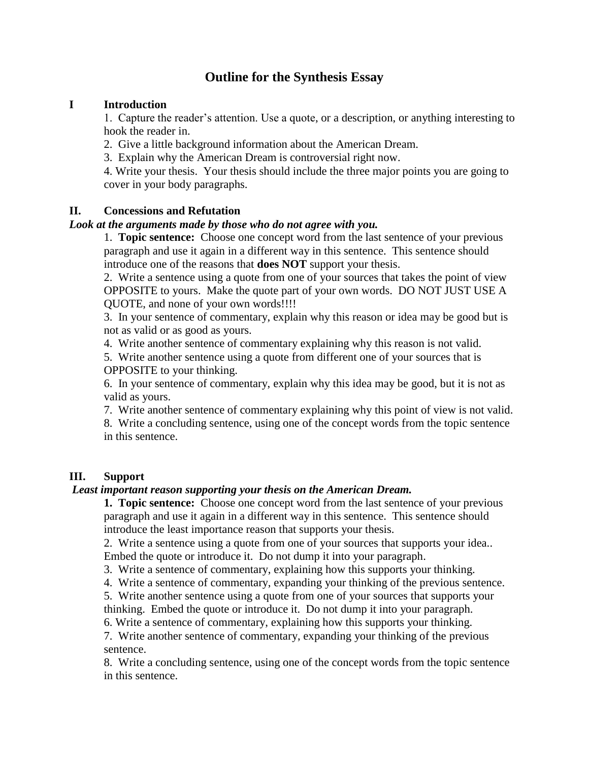# **Outline for the Synthesis Essay**

## **I Introduction**

1. Capture the reader's attention. Use a quote, or a description, or anything interesting to hook the reader in.

2. Give a little background information about the American Dream.

3. Explain why the American Dream is controversial right now.

4. Write your thesis. Your thesis should include the three major points you are going to cover in your body paragraphs.

## **II. Concessions and Refutation**

#### *Look at the arguments made by those who do not agree with you.*

1. **Topic sentence:** Choose one concept word from the last sentence of your previous paragraph and use it again in a different way in this sentence. This sentence should introduce one of the reasons that **does NOT** support your thesis.

2. Write a sentence using a quote from one of your sources that takes the point of view OPPOSITE to yours. Make the quote part of your own words. DO NOT JUST USE A QUOTE, and none of your own words!!!!

3. In your sentence of commentary, explain why this reason or idea may be good but is not as valid or as good as yours.

4. Write another sentence of commentary explaining why this reason is not valid.

5. Write another sentence using a quote from different one of your sources that is OPPOSITE to your thinking.

6. In your sentence of commentary, explain why this idea may be good, but it is not as valid as yours.

7. Write another sentence of commentary explaining why this point of view is not valid.

8. Write a concluding sentence, using one of the concept words from the topic sentence in this sentence.

## **III. Support**

## *Least important reason supporting your thesis on the American Dream.*

**1. Topic sentence:** Choose one concept word from the last sentence of your previous paragraph and use it again in a different way in this sentence. This sentence should introduce the least importance reason that supports your thesis.

2. Write a sentence using a quote from one of your sources that supports your idea.. Embed the quote or introduce it. Do not dump it into your paragraph.

3. Write a sentence of commentary, explaining how this supports your thinking.

4. Write a sentence of commentary, expanding your thinking of the previous sentence.

5. Write another sentence using a quote from one of your sources that supports your

thinking. Embed the quote or introduce it. Do not dump it into your paragraph.

6. Write a sentence of commentary, explaining how this supports your thinking.

7. Write another sentence of commentary, expanding your thinking of the previous sentence.

8. Write a concluding sentence, using one of the concept words from the topic sentence in this sentence.